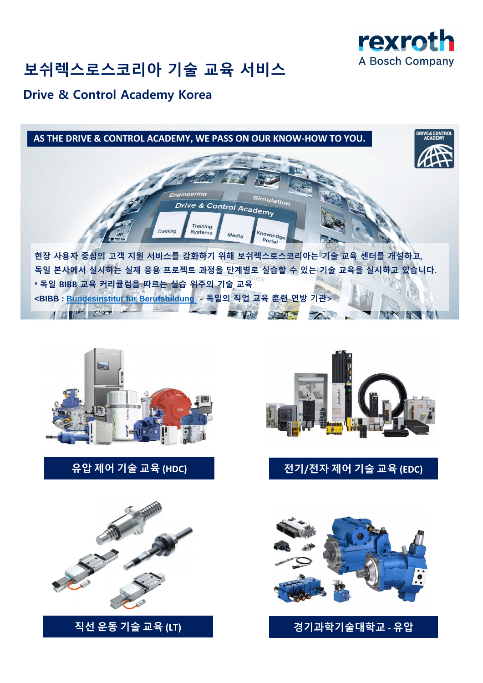

# **보쉬렉스로스코리아 기술 교육 서비스**

## **Drive & Control Academy Korea**





**유압 제어 기술 교육 (HDC) 전기/전자 제어 기술 교육 (EDC)**





### **직선 운동 기술 교육 (LT) 경기과학기술대학교 - 유압**